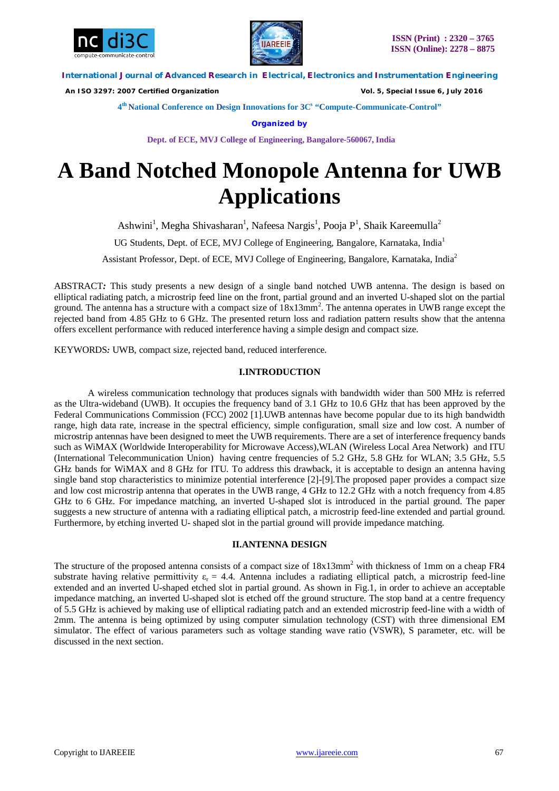



 *An ISO 3297: 2007 Certified Organization Vol. 5, Special Issue 6, July 2016*

**4 th National Conference on Design Innovations for 3C s "Compute-Communicate-Control"** 

**Organized by**

**Dept. of ECE, MVJ College of Engineering, Bangalore-560067, India**

# **A Band Notched Monopole Antenna for UWB Applications**

Ashwini<sup>1</sup>, Megha Shivasharan<sup>1</sup>, Nafeesa Nargis<sup>1</sup>, Pooja P<sup>1</sup>, Shaik Kareemulla<sup>2</sup>

UG Students, Dept. of ECE, MVJ College of Engineering, Bangalore, Karnataka, India<sup>1</sup>

Assistant Professor, Dept. of ECE, MVJ College of Engineering, Bangalore, Karnataka, India<sup>2</sup>

ABSTRACT*:* This study presents a new design of a single band notched UWB antenna. The design is based on elliptical radiating patch, a microstrip feed line on the front, partial ground and an inverted U-shaped slot on the partial ground. The antenna has a structure with a compact size of  $18x13mm^2$ . The antenna operates in UWB range except the rejected band from 4.85 GHz to 6 GHz. The presented return loss and radiation pattern results show that the antenna offers excellent performance with reduced interference having a simple design and compact size.

KEYWORDS*:* UWB, compact size, rejected band, reduced interference.

# **I.INTRODUCTION**

A wireless communication technology that produces signals with bandwidth wider than 500 MHz is referred as the Ultra-wideband (UWB). It occupies the frequency band of 3.1 GHz to 10.6 GHz that has been approved by the Federal Communications Commission (FCC) 2002 [1].UWB antennas have become popular due to its high bandwidth range, high data rate, increase in the spectral efficiency, simple configuration, small size and low cost. A number of microstrip antennas have been designed to meet the UWB requirements. There are a set of interference frequency bands such as WiMAX (Worldwide Interoperability for Microwave Access),WLAN (Wireless Local Area Network) and ITU (International Telecommunication Union) having centre frequencies of 5.2 GHz, 5.8 GHz for WLAN; 3.5 GHz, 5.5 GHz bands for WiMAX and 8 GHz for ITU. To address this drawback, it is acceptable to design an antenna having single band stop characteristics to minimize potential interference [2]-[9].The proposed paper provides a compact size and low cost microstrip antenna that operates in the UWB range, 4 GHz to 12.2 GHz with a notch frequency from 4.85 GHz to 6 GHz. For impedance matching, an inverted U-shaped slot is introduced in the partial ground. The paper suggests a new structure of antenna with a radiating elliptical patch, a microstrip feed-line extended and partial ground. Furthermore, by etching inverted U- shaped slot in the partial ground will provide impedance matching.

# **II.ANTENNA DESIGN**

The structure of the proposed antenna consists of a compact size of  $18x13mm^2$  with thickness of 1mm on a cheap FR4 substrate having relative permittivity  $\varepsilon_r = 4.4$ . Antenna includes a radiating elliptical patch, a microstrip feed-line extended and an inverted U-shaped etched slot in partial ground. As shown in Fig.1, in order to achieve an acceptable impedance matching, an inverted U-shaped slot is etched off the ground structure. The stop band at a centre frequency of 5.5 GHz is achieved by making use of elliptical radiating patch and an extended microstrip feed-line with a width of 2mm. The antenna is being optimized by using computer simulation technology (CST) with three dimensional EM simulator. The effect of various parameters such as voltage standing wave ratio (VSWR), S parameter, etc. will be discussed in the next section.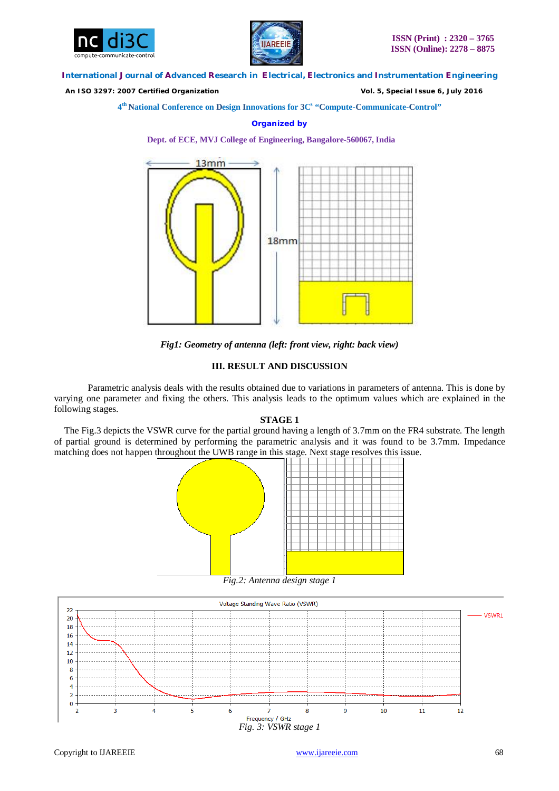



 *An ISO 3297: 2007 Certified Organization Vol. 5, Special Issue 6, July 2016*

# **4 th National Conference on Design Innovations for 3C s "Compute-Communicate-Control"**

#### **Organized by**

**Dept. of ECE, MVJ College of Engineering, Bangalore-560067, India**



*Fig1: Geometry of antenna (left: front view, right: back view)*

# **III. RESULT AND DISCUSSION**

Parametric analysis deals with the results obtained due to variations in parameters of antenna. This is done by varying one parameter and fixing the others. This analysis leads to the optimum values which are explained in the following stages.

# **STAGE 1**

The Fig.3 depicts the VSWR curve for the partial ground having a length of 3.7mm on the FR4 substrate. The length of partial ground is determined by performing the parametric analysis and it was found to be 3.7mm. Impedance matching does not happen throughout the UWB range in this stage. Next stage resolves this issue.





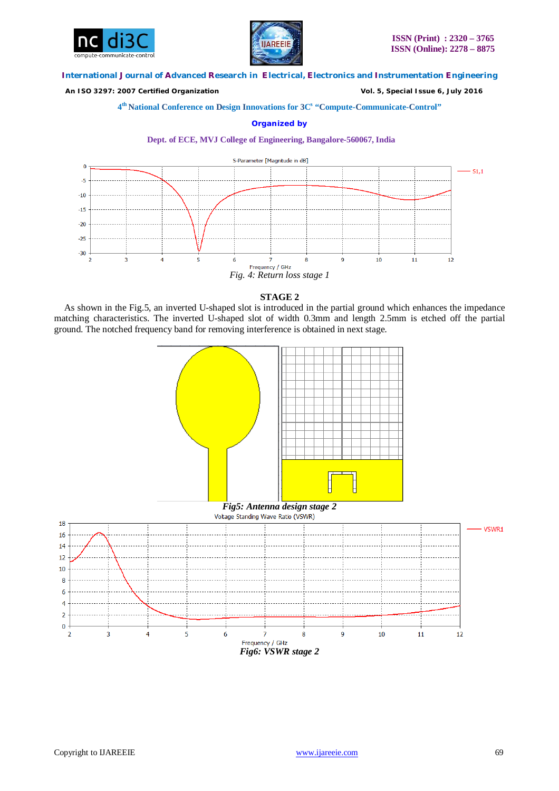



 *An ISO 3297: 2007 Certified Organization Vol. 5, Special Issue 6, July 2016*

# **4 th National Conference on Design Innovations for 3C s "Compute-Communicate-Control"**

# **Organized by**

# **Dept. of ECE, MVJ College of Engineering, Bangalore-560067, India**



# **STAGE 2**

As shown in the Fig.5, an inverted U-shaped slot is introduced in the partial ground which enhances the impedance matching characteristics. The inverted U-shaped slot of width 0.3mm and length 2.5mm is etched off the partial ground. The notched frequency band for removing interference is obtained in next stage.

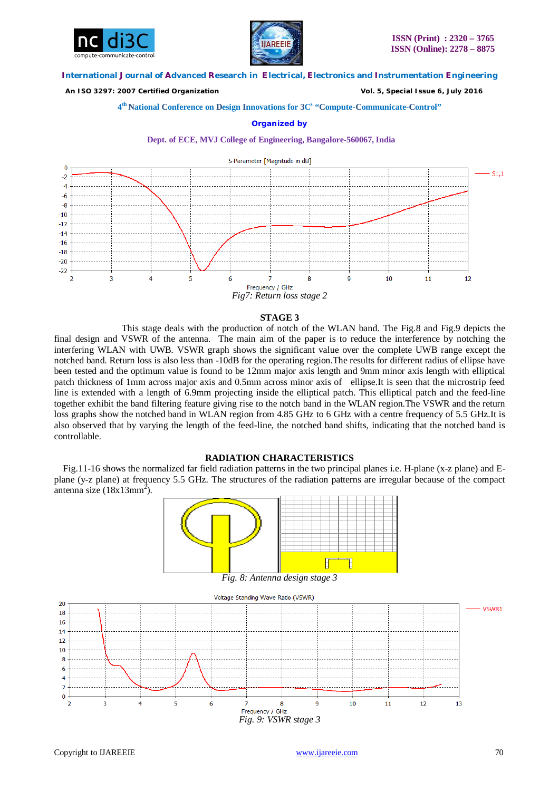



 *An ISO 3297: 2007 Certified Organization Vol. 5, Special Issue 6, July 2016*

# **4 th National Conference on Design Innovations for 3C s "Compute-Communicate-Control"**

#### **Organized by**

#### **Dept. of ECE, MVJ College of Engineering, Bangalore-560067, India**



# **STAGE 3**

This stage deals with the production of notch of the WLAN band. The Fig.8 and Fig.9 depicts the final design and VSWR of the antenna. The main aim of the paper is to reduce the interference by notching the interfering WLAN with UWB. VSWR graph shows the significant value over the complete UWB range except the notched band. Return loss is also less than -10dB for the operating region.The results for different radius of ellipse have been tested and the optimum value is found to be 12mm major axis length and 9mm minor axis length with elliptical patch thickness of 1mm across major axis and 0.5mm across minor axis of ellipse.It is seen that the microstrip feed line is extended with a length of 6.9mm projecting inside the elliptical patch. This elliptical patch and the feed-line together exhibit the band filtering feature giving rise to the notch band in the WLAN region.The VSWR and the return loss graphs show the notched band in WLAN region from 4.85 GHz to 6 GHz with a centre frequency of 5.5 GHz.It is also observed that by varying the length of the feed-line, the notched band shifts, indicating that the notched band is controllable.

# **RADIATION CHARACTERISTICS**

Fig.11-16 shows the normalized far field radiation patterns in the two principal planes i.e. H-plane (x-z plane) and Eplane (y-z plane) at frequency 5.5 GHz. The structures of the radiation patterns are irregular because of the compact antenna size  $(18x13mm^2)$ .

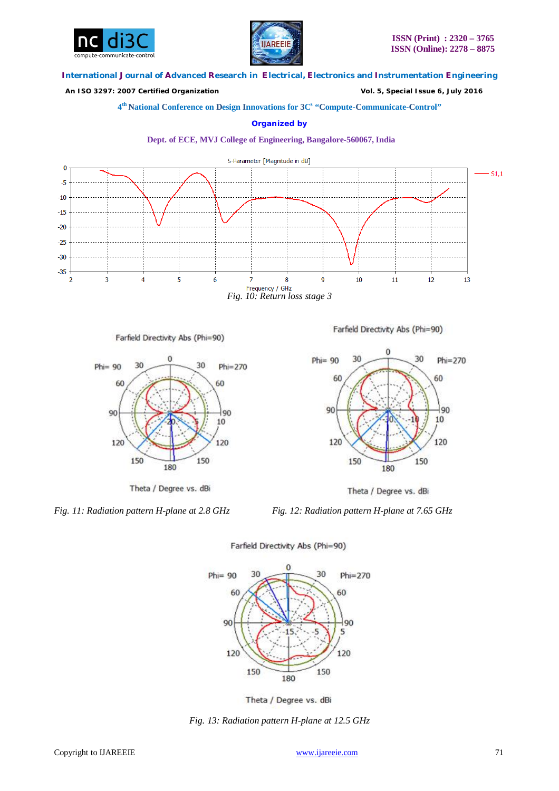



 *An ISO 3297: 2007 Certified Organization Vol. 5, Special Issue 6, July 2016*

# **4 th National Conference on Design Innovations for 3C s "Compute-Communicate-Control"**

#### **Organized by**

# **Dept. of ECE, MVJ College of Engineering, Bangalore-560067, India**



Farfield Directivity Abs (Phi=90)



Farfield Directivity Abs (Phi=90)



Theta / Degree vs. dBi

*Fig. 11: Radiation pattern H-plane at 2.8 GHz Fig. 12: Radiation pattern H-plane at 7.65 GHz*





Theta / Degree vs. dBi

*Fig. 13: Radiation pattern H-plane at 12.5 GHz*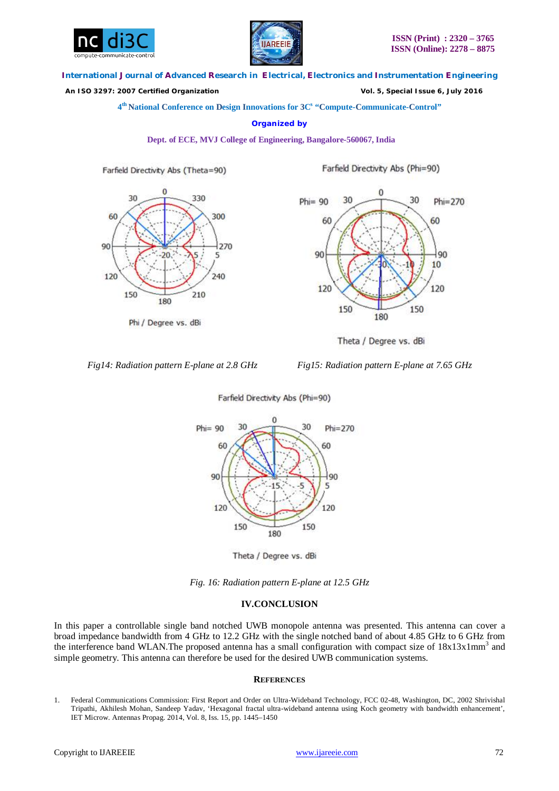



 *An ISO 3297: 2007 Certified Organization Vol. 5, Special Issue 6, July 2016*

**4 th National Conference on Design Innovations for 3C s "Compute-Communicate-Control"** 

# **Organized by**

**Dept. of ECE, MVJ College of Engineering, Bangalore-560067, India**





Phi / Degree vs. dBi

Farfield Directivity Abs (Phi=90)



Theta / Degree vs. dBi

*Fig14: Radiation pattern E-plane at 2.8 GHz Fig15: Radiation pattern E-plane at 7.65 GHz*



Theta / Degree vs. dBi

*Fig. 16: Radiation pattern E-plane at 12.5 GHz*

# **IV.CONCLUSION**

In this paper a controllable single band notched UWB monopole antenna was presented. This antenna can cover a broad impedance bandwidth from 4 GHz to 12.2 GHz with the single notched band of about 4.85 GHz to 6 GHz from the interference band WLAN. The proposed antenna has a small configuration with compact size of 18x13x1mm<sup>3</sup> and simple geometry. This antenna can therefore be used for the desired UWB communication systems.

# **REFERENCES**

<sup>1.</sup> Federal Communications Commission: First Report and Order on Ultra-Wideband Technology, FCC 02-48, Washington, DC, 2002 Shrivishal Tripathi, Akhilesh Mohan, Sandeep Yadav, 'Hexagonal fractal ultra-wideband antenna using Koch geometry with bandwidth enhancement', IET Microw. Antennas Propag. 2014, Vol. 8, Iss. 15, pp. 1445–1450